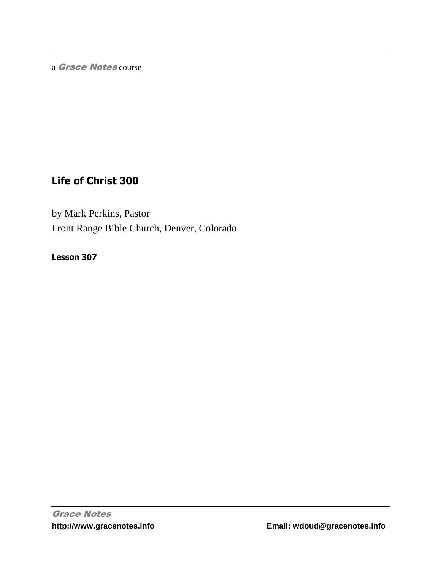a Grace Notes course

# **Life of Christ 300**

by Mark Perkins, Pastor Front Range Bible Church, Denver, Colorado

**Lesson 307**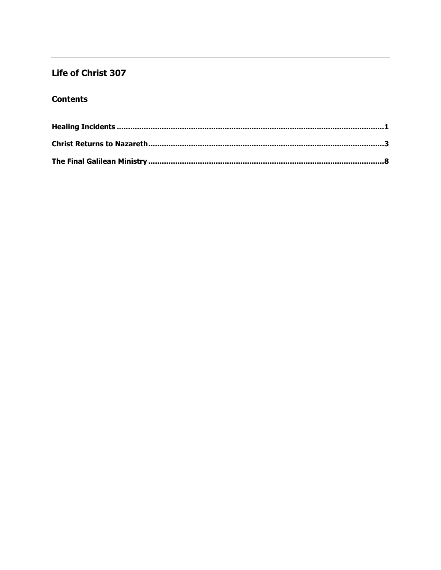## Life of Christ 307

### **Contents**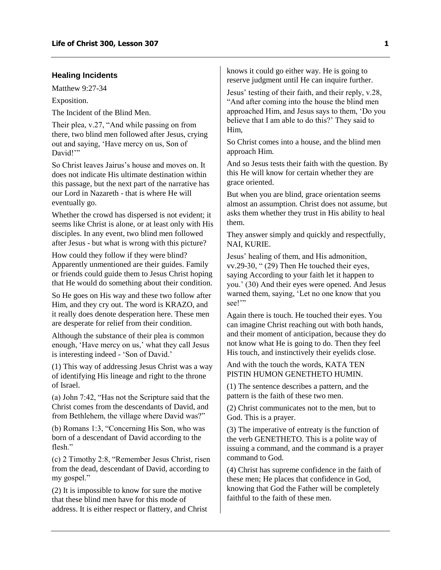### <span id="page-2-0"></span>**Healing Incidents**

Matthew 9:27-34

Exposition.

The Incident of the Blind Men.

Their plea, v.27, "And while passing on from there, two blind men followed after Jesus, crying out and saying, 'Have mercy on us, Son of David!"

So Christ leaves Jairus's house and moves on. It does not indicate His ultimate destination within this passage, but the next part of the narrative has our Lord in Nazareth - that is where He will eventually go.

Whether the crowd has dispersed is not evident; it seems like Christ is alone, or at least only with His disciples. In any event, two blind men followed after Jesus - but what is wrong with this picture?

How could they follow if they were blind? Apparently unmentioned are their guides. Family or friends could guide them to Jesus Christ hoping that He would do something about their condition.

So He goes on His way and these two follow after Him, and they cry out. The word is KRAZO, and it really does denote desperation here. These men are desperate for relief from their condition.

Although the substance of their plea is common enough, 'Have mercy on us,' what they call Jesus is interesting indeed - 'Son of David.'

(1) This way of addressing Jesus Christ was a way of identifying His lineage and right to the throne of Israel.

(a) John 7:42, "Has not the Scripture said that the Christ comes from the descendants of David, and from Bethlehem, the village where David was?"

(b) Romans 1:3, "Concerning His Son, who was born of a descendant of David according to the flesh"

(c) 2 Timothy 2:8, "Remember Jesus Christ, risen from the dead, descendant of David, according to my gospel."

(2) It is impossible to know for sure the motive that these blind men have for this mode of address. It is either respect or flattery, and Christ knows it could go either way. He is going to reserve judgment until He can inquire further.

Jesus' testing of their faith, and their reply, v.28, "And after coming into the house the blind men approached Him, and Jesus says to them, 'Do you believe that I am able to do this?' They said to Him,

So Christ comes into a house, and the blind men approach Him.

And so Jesus tests their faith with the question. By this He will know for certain whether they are grace oriented.

But when you are blind, grace orientation seems almost an assumption. Christ does not assume, but asks them whether they trust in His ability to heal them.

They answer simply and quickly and respectfully, NAI, KURIE.

Jesus' healing of them, and His admonition, vv.29-30, " (29) Then He touched their eyes, saying According to your faith let it happen to you.' (30) And their eyes were opened. And Jesus warned them, saying, 'Let no one know that you see!"

Again there is touch. He touched their eyes. You can imagine Christ reaching out with both hands, and their moment of anticipation, because they do not know what He is going to do. Then they feel His touch, and instinctively their eyelids close.

And with the touch the words, KATA TEN PISTIN HUMON GENETHETO HUMIN.

(1) The sentence describes a pattern, and the pattern is the faith of these two men.

(2) Christ communicates not to the men, but to God. This is a prayer.

(3) The imperative of entreaty is the function of the verb GENETHETO. This is a polite way of issuing a command, and the command is a prayer command to God.

(4) Christ has supreme confidence in the faith of these men; He places that confidence in God, knowing that God the Father will be completely faithful to the faith of these men.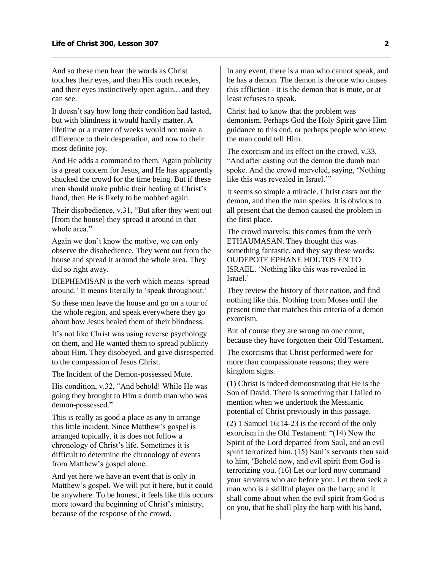And so these men hear the words as Christ touches their eyes, and then His touch recedes, and their eyes instinctively open again... and they can see.

It doesn't say how long their condition had lasted, but with blindness it would hardly matter. A lifetime or a matter of weeks would not make a difference to their desperation, and now to their most definite joy.

And He adds a command to them. Again publicity is a great concern for Jesus, and He has apparently shucked the crowd for the time being. But if these men should make public their healing at Christ's hand, then He is likely to be mobbed again.

Their disobedience, v.31, "But after they went out [from the house] they spread it around in that whole area."

Again we don't know the motive, we can only observe the disobedience. They went out from the house and spread it around the whole area. They did so right away.

DIEPHEMISAN is the verb which means 'spread around.' It means literally to 'speak throughout.'

So these men leave the house and go on a tour of the whole region, and speak everywhere they go about how Jesus healed them of their blindness.

It's not like Christ was using reverse psychology on them, and He wanted them to spread publicity about Him. They disobeyed, and gave disrespected to the compassion of Jesus Christ.

The Incident of the Demon-possessed Mute.

His condition, v.32, "And behold! While He was going they brought to Him a dumb man who was demon-possessed."

This is really as good a place as any to arrange this little incident. Since Matthew's gospel is arranged topically, it is does not follow a chronology of Christ's life. Sometimes it is difficult to determine the chronology of events from Matthew's gospel alone.

And yet here we have an event that is only in Matthew's gospel. We will put it here, but it could be anywhere. To be honest, it feels like this occurs more toward the beginning of Christ's ministry, because of the response of the crowd.

In any event, there is a man who cannot speak, and he has a demon. The demon is the one who causes this affliction - it is the demon that is mute, or at least refuses to speak.

Christ had to know that the problem was demonism. Perhaps God the Holy Spirit gave Him guidance to this end, or perhaps people who knew the man could tell Him.

The exorcism and its effect on the crowd, v.33, "And after casting out the demon the dumb man spoke. And the crowd marveled, saying, 'Nothing like this was revealed in Israel.'"

It seems so simple a miracle. Christ casts out the demon, and then the man speaks. It is obvious to all present that the demon caused the problem in the first place.

The crowd marvels: this comes from the verb ETHAUMASAN. They thought this was something fantastic, and they say these words: OUDEPOTE EPHANE HOUTOS EN TO ISRAEL. 'Nothing like this was revealed in Israel.'

They review the history of their nation, and find nothing like this. Nothing from Moses until the present time that matches this criteria of a demon exorcism.

But of course they are wrong on one count, because they have forgotten their Old Testament.

The exorcisms that Christ performed were for more than compassionate reasons; they were kingdom signs.

(1) Christ is indeed demonstrating that He is the Son of David. There is something that I failed to mention when we undertook the Messianic potential of Christ previously in this passage.

(2) 1 Samuel 16:14-23 is the record of the only exorcism in the Old Testament: "(14) Now the Spirit of the Lord departed from Saul, and an evil spirit terrorized him. (15) Saul's servants then said to him, 'Behold now, and evil spirit from God is terrorizing you. (16) Let our lord now command your servants who are before you. Let them seek a man who is a skillful player on the harp; and it shall come about when the evil spirit from God is on you, that he shall play the harp with his hand,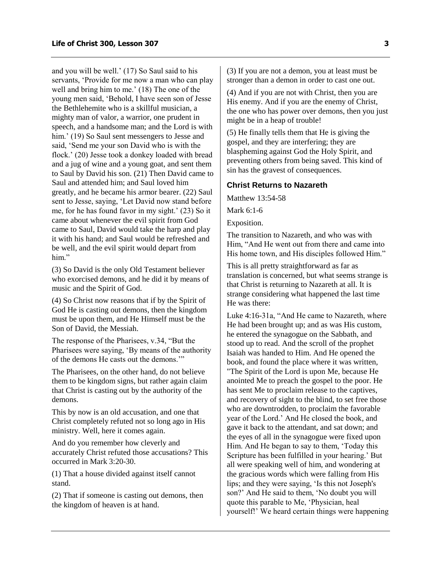and you will be well.' (17) So Saul said to his servants, 'Provide for me now a man who can play well and bring him to me.' (18) The one of the young men said, 'Behold, I have seen son of Jesse the Bethlehemite who is a skillful musician, a mighty man of valor, a warrior, one prudent in speech, and a handsome man; and the Lord is with him.' (19) So Saul sent messengers to Jesse and said, 'Send me your son David who is with the flock.' (20) Jesse took a donkey loaded with bread and a jug of wine and a young goat, and sent them to Saul by David his son. (21) Then David came to Saul and attended him; and Saul loved him greatly, and he became his armor bearer. (22) Saul sent to Jesse, saying, 'Let David now stand before me, for he has found favor in my sight.' (23) So it came about whenever the evil spirit from God came to Saul, David would take the harp and play it with his hand; and Saul would be refreshed and be well, and the evil spirit would depart from him."

(3) So David is the only Old Testament believer who exorcised demons, and he did it by means of music and the Spirit of God.

(4) So Christ now reasons that if by the Spirit of God He is casting out demons, then the kingdom must be upon them, and He Himself must be the Son of David, the Messiah.

The response of the Pharisees, v.34, "But the Pharisees were saying, 'By means of the authority of the demons He casts out the demons.'"

The Pharisees, on the other hand, do not believe them to be kingdom signs, but rather again claim that Christ is casting out by the authority of the demons.

This by now is an old accusation, and one that Christ completely refuted not so long ago in His ministry. Well, here it comes again.

And do you remember how cleverly and accurately Christ refuted those accusations? This occurred in Mark 3:20-30.

(1) That a house divided against itself cannot stand.

(2) That if someone is casting out demons, then the kingdom of heaven is at hand.

(3) If you are not a demon, you at least must be stronger than a demon in order to cast one out.

(4) And if you are not with Christ, then you are His enemy. And if you are the enemy of Christ, the one who has power over demons, then you just might be in a heap of trouble!

(5) He finally tells them that He is giving the gospel, and they are interfering; they are blaspheming against God the Holy Spirit, and preventing others from being saved. This kind of sin has the gravest of consequences.

#### <span id="page-4-0"></span>**Christ Returns to Nazareth**

Matthew 13:54-58

Mark 6:1-6

Exposition.

The transition to Nazareth, and who was with Him, "And He went out from there and came into His home town, and His disciples followed Him."

This is all pretty straightforward as far as translation is concerned, but what seems strange is that Christ is returning to Nazareth at all. It is strange considering what happened the last time He was there:

Luke 4:16-31a, "And He came to Nazareth, where He had been brought up; and as was His custom, he entered the synagogue on the Sabbath, and stood up to read. And the scroll of the prophet Isaiah was handed to Him. And He opened the book, and found the place where it was written, "The Spirit of the Lord is upon Me, because He anointed Me to preach the gospel to the poor. He has sent Me to proclaim release to the captives, and recovery of sight to the blind, to set free those who are downtrodden, to proclaim the favorable year of the Lord.' And He closed the book, and gave it back to the attendant, and sat down; and the eyes of all in the synagogue were fixed upon Him. And He began to say to them, 'Today this Scripture has been fulfilled in your hearing.' But all were speaking well of him, and wondering at the gracious words which were falling from His lips; and they were saying, 'Is this not Joseph's son?' And He said to them, 'No doubt you will quote this parable to Me, 'Physician, heal yourself!' We heard certain things were happening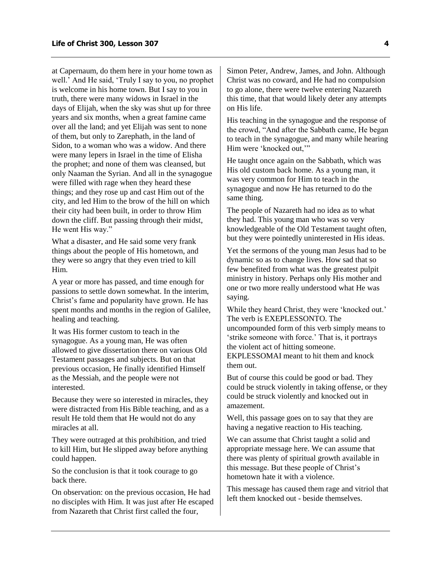at Capernaum, do them here in your home town as well.' And He said, 'Truly I say to you, no prophet is welcome in his home town. But I say to you in truth, there were many widows in Israel in the days of Elijah, when the sky was shut up for three years and six months, when a great famine came over all the land; and yet Elijah was sent to none of them, but only to Zarephath, in the land of Sidon, to a woman who was a widow. And there were many lepers in Israel in the time of Elisha the prophet; and none of them was cleansed, but only Naaman the Syrian. And all in the synagogue were filled with rage when they heard these things; and they rose up and cast Him out of the city, and led Him to the brow of the hill on which their city had been built, in order to throw Him down the cliff. But passing through their midst, He went His way."

What a disaster, and He said some very frank things about the people of His hometown, and they were so angry that they even tried to kill Him.

A year or more has passed, and time enough for passions to settle down somewhat. In the interim, Christ's fame and popularity have grown. He has spent months and months in the region of Galilee, healing and teaching.

It was His former custom to teach in the synagogue. As a young man, He was often allowed to give dissertation there on various Old Testament passages and subjects. But on that previous occasion, He finally identified Himself as the Messiah, and the people were not interested.

Because they were so interested in miracles, they were distracted from His Bible teaching, and as a result He told them that He would not do any miracles at all.

They were outraged at this prohibition, and tried to kill Him, but He slipped away before anything could happen.

So the conclusion is that it took courage to go back there.

On observation: on the previous occasion, He had no disciples with Him. It was just after He escaped from Nazareth that Christ first called the four,

Simon Peter, Andrew, James, and John. Although Christ was no coward, and He had no compulsion to go alone, there were twelve entering Nazareth this time, that that would likely deter any attempts on His life.

His teaching in the synagogue and the response of the crowd, "And after the Sabbath came, He began to teach in the synagogue, and many while hearing Him were 'knocked out,'"

He taught once again on the Sabbath, which was His old custom back home. As a young man, it was very common for Him to teach in the synagogue and now He has returned to do the same thing.

The people of Nazareth had no idea as to what they had. This young man who was so very knowledgeable of the Old Testament taught often, but they were pointedly uninterested in His ideas.

Yet the sermons of the young man Jesus had to be dynamic so as to change lives. How sad that so few benefited from what was the greatest pulpit ministry in history. Perhaps only His mother and one or two more really understood what He was saying.

While they heard Christ, they were 'knocked out.' The verb is EXEPLESSONTO. The uncompounded form of this verb simply means to 'strike someone with force.' That is, it portrays the violent act of hitting someone. EKPLESSOMAI meant to hit them and knock them out.

But of course this could be good or bad. They could be struck violently in taking offense, or they could be struck violently and knocked out in amazement.

Well, this passage goes on to say that they are having a negative reaction to His teaching.

We can assume that Christ taught a solid and appropriate message here. We can assume that there was plenty of spiritual growth available in this message. But these people of Christ's hometown hate it with a violence.

This message has caused them rage and vitriol that left them knocked out - beside themselves.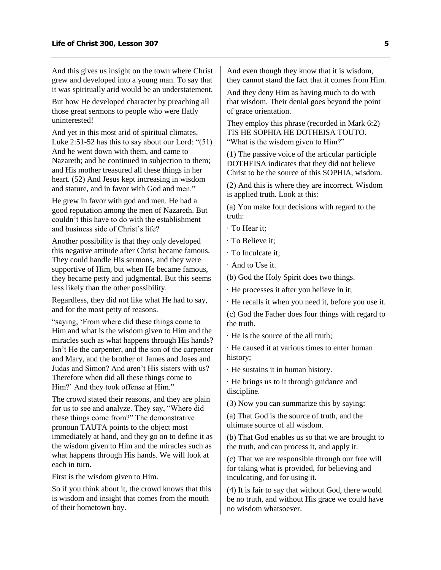And this gives us insight on the town where Christ grew and developed into a young man. To say that it was spiritually arid would be an understatement.

But how He developed character by preaching all those great sermons to people who were flatly uninterested!

And yet in this most arid of spiritual climates, Luke 2:51-52 has this to say about our Lord: "(51) And he went down with them, and came to Nazareth; and he continued in subjection to them; and His mother treasured all these things in her heart. (52) And Jesus kept increasing in wisdom and stature, and in favor with God and men."

He grew in favor with god and men. He had a good reputation among the men of Nazareth. But couldn't this have to do with the establishment and business side of Christ's life?

Another possibility is that they only developed this negative attitude after Christ became famous. They could handle His sermons, and they were supportive of Him, but when He became famous, they became petty and judgmental. But this seems less likely than the other possibility.

Regardless, they did not like what He had to say, and for the most petty of reasons.

"saying, 'From where did these things come to Him and what is the wisdom given to Him and the miracles such as what happens through His hands? Isn't He the carpenter, and the son of the carpenter and Mary, and the brother of James and Joses and Judas and Simon? And aren't His sisters with us? Therefore when did all these things come to Him?' And they took offense at Him."

The crowd stated their reasons, and they are plain for us to see and analyze. They say, "Where did these things come from?" The demonstrative pronoun TAUTA points to the object most immediately at hand, and they go on to define it as the wisdom given to Him and the miracles such as what happens through His hands. We will look at each in turn.

First is the wisdom given to Him.

So if you think about it, the crowd knows that this is wisdom and insight that comes from the mouth of their hometown boy.

And even though they know that it is wisdom, they cannot stand the fact that it comes from Him.

And they deny Him as having much to do with that wisdom. Their denial goes beyond the point of grace orientation.

They employ this phrase (recorded in Mark 6:2) TIS HE SOPHIA HE DOTHEISA TOUTO. "What is the wisdom given to Him?"

(1) The passive voice of the articular participle DOTHEISA indicates that they did not believe Christ to be the source of this SOPHIA, wisdom.

(2) And this is where they are incorrect. Wisdom is applied truth. Look at this:

(a) You make four decisions with regard to the truth:

· To Hear it;

· To Believe it;

· To Inculcate it;

· And to Use it.

(b) God the Holy Spirit does two things.

· He processes it after you believe in it;

· He recalls it when you need it, before you use it.

(c) God the Father does four things with regard to the truth.

· He is the source of the all truth;

· He caused it at various times to enter human history;

· He sustains it in human history.

· He brings us to it through guidance and discipline.

(3) Now you can summarize this by saying:

(a) That God is the source of truth, and the ultimate source of all wisdom.

(b) That God enables us so that we are brought to the truth, and can process it, and apply it.

(c) That we are responsible through our free will for taking what is provided, for believing and inculcating, and for using it.

(4) It is fair to say that without God, there would be no truth, and without His grace we could have no wisdom whatsoever.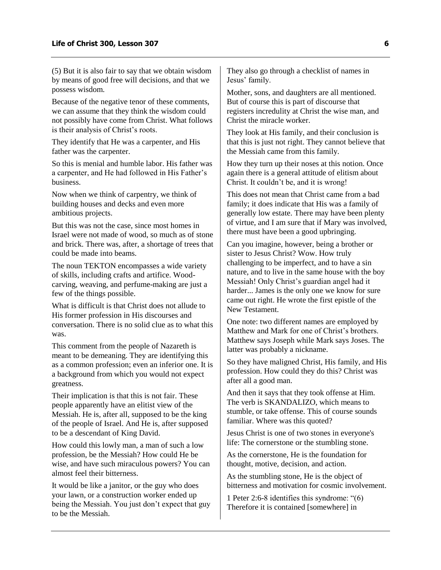(5) But it is also fair to say that we obtain wisdom by means of good free will decisions, and that we possess wisdom.

Because of the negative tenor of these comments, we can assume that they think the wisdom could not possibly have come from Christ. What follows is their analysis of Christ's roots.

They identify that He was a carpenter, and His father was the carpenter.

So this is menial and humble labor. His father was a carpenter, and He had followed in His Father's business.

Now when we think of carpentry, we think of building houses and decks and even more ambitious projects.

But this was not the case, since most homes in Israel were not made of wood, so much as of stone and brick. There was, after, a shortage of trees that could be made into beams.

The noun TEKTON encompasses a wide variety of skills, including crafts and artifice. Woodcarving, weaving, and perfume-making are just a few of the things possible.

What is difficult is that Christ does not allude to His former profession in His discourses and conversation. There is no solid clue as to what this was.

This comment from the people of Nazareth is meant to be demeaning. They are identifying this as a common profession; even an inferior one. It is a background from which you would not expect greatness.

Their implication is that this is not fair. These people apparently have an elitist view of the Messiah. He is, after all, supposed to be the king of the people of Israel. And He is, after supposed to be a descendant of King David.

How could this lowly man, a man of such a low profession, be the Messiah? How could He be wise, and have such miraculous powers? You can almost feel their bitterness.

It would be like a janitor, or the guy who does your lawn, or a construction worker ended up being the Messiah. You just don't expect that guy to be the Messiah.

They also go through a checklist of names in Jesus' family.

Mother, sons, and daughters are all mentioned. But of course this is part of discourse that registers incredulity at Christ the wise man, and Christ the miracle worker.

They look at His family, and their conclusion is that this is just not right. They cannot believe that the Messiah came from this family.

How they turn up their noses at this notion. Once again there is a general attitude of elitism about Christ. It couldn't be, and it is wrong!

This does not mean that Christ came from a bad family; it does indicate that His was a family of generally low estate. There may have been plenty of virtue, and I am sure that if Mary was involved, there must have been a good upbringing.

Can you imagine, however, being a brother or sister to Jesus Christ? Wow. How truly challenging to be imperfect, and to have a sin nature, and to live in the same house with the boy Messiah! Only Christ's guardian angel had it harder... James is the only one we know for sure came out right. He wrote the first epistle of the New Testament.

One note: two different names are employed by Matthew and Mark for one of Christ's brothers. Matthew says Joseph while Mark says Joses. The latter was probably a nickname.

So they have maligned Christ, His family, and His profession. How could they do this? Christ was after all a good man.

And then it says that they took offense at Him. The verb is SKANDALIZO, which means to stumble, or take offense. This of course sounds familiar. Where was this quoted?

Jesus Christ is one of two stones in everyone's life: The cornerstone or the stumbling stone.

As the cornerstone, He is the foundation for thought, motive, decision, and action.

As the stumbling stone, He is the object of bitterness and motivation for cosmic involvement.

1 Peter 2:6-8 identifies this syndrome: "(6) Therefore it is contained [somewhere] in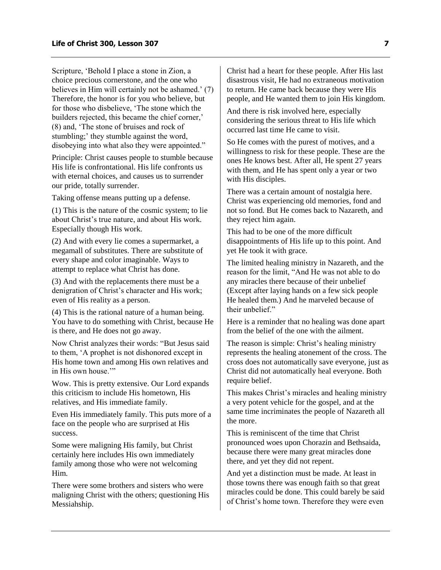Scripture, 'Behold I place a stone in Zion, a choice precious cornerstone, and the one who believes in Him will certainly not be ashamed.' (7) Therefore, the honor is for you who believe, but for those who disbelieve, 'The stone which the builders rejected, this became the chief corner,' (8) and, 'The stone of bruises and rock of stumbling;' they stumble against the word, disobeying into what also they were appointed."

Principle: Christ causes people to stumble because His life is confrontational. His life confronts us with eternal choices, and causes us to surrender our pride, totally surrender.

Taking offense means putting up a defense.

(1) This is the nature of the cosmic system; to lie about Christ's true nature, and about His work. Especially though His work.

(2) And with every lie comes a supermarket, a megamall of substitutes. There are substitute of every shape and color imaginable. Ways to attempt to replace what Christ has done.

(3) And with the replacements there must be a denigration of Christ's character and His work; even of His reality as a person.

(4) This is the rational nature of a human being. You have to do something with Christ, because He is there, and He does not go away.

Now Christ analyzes their words: "But Jesus said to them, 'A prophet is not dishonored except in His home town and among His own relatives and in His own house.""

Wow. This is pretty extensive. Our Lord expands this criticism to include His hometown, His relatives, and His immediate family.

Even His immediately family. This puts more of a face on the people who are surprised at His success.

Some were maligning His family, but Christ certainly here includes His own immediately family among those who were not welcoming Him.

There were some brothers and sisters who were maligning Christ with the others; questioning His Messiahship.

Christ had a heart for these people. After His last disastrous visit, He had no extraneous motivation to return. He came back because they were His people, and He wanted them to join His kingdom.

And there is risk involved here, especially considering the serious threat to His life which occurred last time He came to visit.

So He comes with the purest of motives, and a willingness to risk for these people. These are the ones He knows best. After all, He spent 27 years with them, and He has spent only a year or two with His disciples.

There was a certain amount of nostalgia here. Christ was experiencing old memories, fond and not so fond. But He comes back to Nazareth, and they reject him again.

This had to be one of the more difficult disappointments of His life up to this point. And yet He took it with grace.

The limited healing ministry in Nazareth, and the reason for the limit, "And He was not able to do any miracles there because of their unbelief (Except after laying hands on a few sick people He healed them.) And he marveled because of their unbelief."

Here is a reminder that no healing was done apart from the belief of the one with the ailment.

The reason is simple: Christ's healing ministry represents the healing atonement of the cross. The cross does not automatically save everyone, just as Christ did not automatically heal everyone. Both require belief.

This makes Christ's miracles and healing ministry a very potent vehicle for the gospel, and at the same time incriminates the people of Nazareth all the more.

This is reminiscent of the time that Christ pronounced woes upon Chorazin and Bethsaida, because there were many great miracles done there, and yet they did not repent.

And yet a distinction must be made. At least in those towns there was enough faith so that great miracles could be done. This could barely be said of Christ's home town. Therefore they were even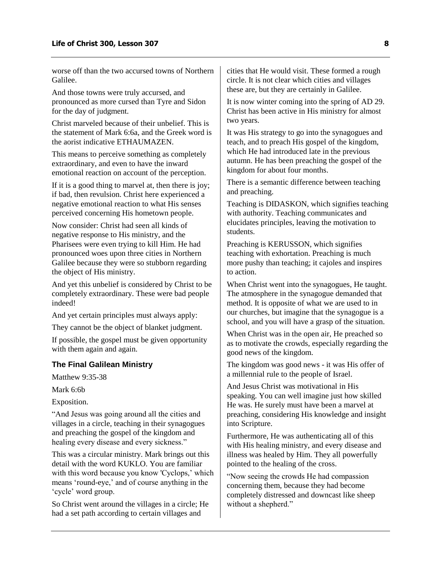worse off than the two accursed towns of Northern Galilee.

And those towns were truly accursed, and pronounced as more cursed than Tyre and Sidon for the day of judgment.

Christ marveled because of their unbelief. This is the statement of Mark 6:6a, and the Greek word is the aorist indicative ETHAUMAZEN.

This means to perceive something as completely extraordinary, and even to have the inward emotional reaction on account of the perception.

If it is a good thing to marvel at, then there is joy; if bad, then revulsion. Christ here experienced a negative emotional reaction to what His senses perceived concerning His hometown people.

Now consider: Christ had seen all kinds of negative response to His ministry, and the Pharisees were even trying to kill Him. He had pronounced woes upon three cities in Northern Galilee because they were so stubborn regarding the object of His ministry.

And yet this unbelief is considered by Christ to be completely extraordinary. These were bad people indeed!

And yet certain principles must always apply:

They cannot be the object of blanket judgment.

If possible, the gospel must be given opportunity with them again and again.

#### <span id="page-9-0"></span>**The Final Galilean Ministry**

Matthew 9:35-38

Mark 6:6b

Exposition.

"And Jesus was going around all the cities and villages in a circle, teaching in their synagogues and preaching the gospel of the kingdom and healing every disease and every sickness."

This was a circular ministry. Mark brings out this detail with the word KUKLO. You are familiar with this word because you know 'Cyclops,' which means 'round-eye,' and of course anything in the 'cycle' word group.

So Christ went around the villages in a circle; He had a set path according to certain villages and

cities that He would visit. These formed a rough circle. It is not clear which cities and villages these are, but they are certainly in Galilee.

It is now winter coming into the spring of AD 29. Christ has been active in His ministry for almost two years.

It was His strategy to go into the synagogues and teach, and to preach His gospel of the kingdom, which He had introduced late in the previous autumn. He has been preaching the gospel of the kingdom for about four months.

There is a semantic difference between teaching and preaching.

Teaching is DIDASKON, which signifies teaching with authority. Teaching communicates and elucidates principles, leaving the motivation to students.

Preaching is KERUSSON, which signifies teaching with exhortation. Preaching is much more pushy than teaching; it cajoles and inspires to action.

When Christ went into the synagogues, He taught. The atmosphere in the synagogue demanded that method. It is opposite of what we are used to in our churches, but imagine that the synagogue is a school, and you will have a grasp of the situation.

When Christ was in the open air, He preached so as to motivate the crowds, especially regarding the good news of the kingdom.

The kingdom was good news - it was His offer of a millennial rule to the people of Israel.

And Jesus Christ was motivational in His speaking. You can well imagine just how skilled He was. He surely must have been a marvel at preaching, considering His knowledge and insight into Scripture.

Furthermore, He was authenticating all of this with His healing ministry, and every disease and illness was healed by Him. They all powerfully pointed to the healing of the cross.

"Now seeing the crowds He had compassion concerning them, because they had become completely distressed and downcast like sheep without a shepherd."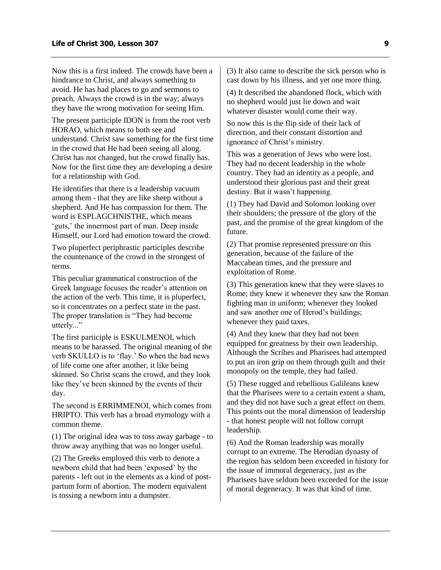Now this is a first indeed. The crowds have been a hindrance to Christ, and always something to avoid. He has had places to go and sermons to preach. Always the crowd is in the way; always they have the wrong motivation for seeing Him.

The present participle IDON is from the root verb HORAO, which means to both see and understand. Christ saw something for the first time in the crowd that He had been seeing all along. Christ has not changed, but the crowd finally has. Now for the first time they are developing a desire for a relationship with God.

He identifies that there is a leadership vacuum among them - that they are like sheep without a shepherd. And He has compassion for them. The word is ESPLAGCHNISTHE, which means 'guts,' the innermost part of man. Deep inside Himself, our Lord had emotion toward the crowd.

Two pluperfect periphrastic participles describe the countenance of the crowd in the strongest of terms.

This peculiar grammatical construction of the Greek language focuses the reader's attention on the action of the verb. This time, it is pluperfect, so it concentrates on a perfect state in the past. The proper translation is "They had become utterly..."

The first participle is ESKULMENOI, which means to be harassed. The original meaning of the verb SKULLO is to 'flay.' So when the bad news of life come one after another, it like being skinned. So Christ scans the crowd, and they look like they've been skinned by the events of their day.

The second is ERRIMMENOI, which comes from HRIPTO. This verb has a broad etymology with a common theme.

(1) The original idea was to toss away garbage - to throw away anything that was no longer useful.

(2) The Greeks employed this verb to denote a newborn child that had been 'exposed' by the parents - left out in the elements as a kind of postpartum form of abortion. The modern equivalent is tossing a newborn into a dumpster.

(3) It also came to describe the sick person who is cast down by his illness, and yet one more thing.

(4) It described the abandoned flock, which with no shepherd would just lie down and wait whatever disaster would come their way.

So now this is the flip side of their lack of direction, and their constant distortion and ignorance of Christ's ministry.

This was a generation of Jews who were lost. They had no decent leadership in the whole country. They had an identity as a people, and understood their glorious past and their great destiny. But it wasn't happening.

(1) They had David and Solomon looking over their shoulders; the pressure of the glory of the past, and the promise of the great kingdom of the future.

(2) That promise represented pressure on this generation, because of the failure of the Maccabean times, and the pressure and exploitation of Rome.

(3) This generation knew that they were slaves to Rome; they knew it whenever they saw the Roman fighting man in uniform; whenever they looked and saw another one of Herod's buildings; whenever they paid taxes.

(4) And they knew that they had not been equipped for greatness by their own leadership. Although the Scribes and Pharisees had attempted to put an iron grip on them through guilt and their monopoly on the temple, they had failed.

(5) These rugged and rebellious Galileans knew that the Pharisees were to a certain extent a sham, and they did not have such a great effect on them. This points out the moral dimension of leadership - that honest people will not follow corrupt leadership.

(6) And the Roman leadership was morally corrupt to an extreme. The Herodian dynasty of the region has seldom been exceeded in history for the issue of immoral degeneracy, just as the Pharisees have seldom been exceeded for the issue of moral degeneracy. It was that kind of time.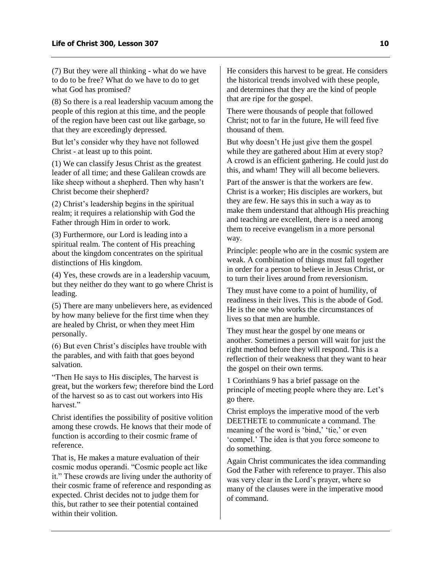(7) But they were all thinking - what do we have to do to be free? What do we have to do to get what God has promised?

(8) So there is a real leadership vacuum among the people of this region at this time, and the people of the region have been cast out like garbage, so that they are exceedingly depressed.

But let's consider why they have not followed Christ - at least up to this point.

(1) We can classify Jesus Christ as the greatest leader of all time; and these Galilean crowds are like sheep without a shepherd. Then why hasn't Christ become their shepherd?

(2) Christ's leadership begins in the spiritual realm; it requires a relationship with God the Father through Him in order to work.

(3) Furthermore, our Lord is leading into a spiritual realm. The content of His preaching about the kingdom concentrates on the spiritual distinctions of His kingdom.

(4) Yes, these crowds are in a leadership vacuum, but they neither do they want to go where Christ is leading.

(5) There are many unbelievers here, as evidenced by how many believe for the first time when they are healed by Christ, or when they meet Him personally.

(6) But even Christ's disciples have trouble with the parables, and with faith that goes beyond salvation.

"Then He says to His disciples, The harvest is great, but the workers few; therefore bind the Lord of the harvest so as to cast out workers into His harvest."

Christ identifies the possibility of positive volition among these crowds. He knows that their mode of function is according to their cosmic frame of reference.

That is, He makes a mature evaluation of their cosmic modus operandi. "Cosmic people act like it." These crowds are living under the authority of their cosmic frame of reference and responding as expected. Christ decides not to judge them for this, but rather to see their potential contained within their volition

He considers this harvest to be great. He considers the historical trends involved with these people, and determines that they are the kind of people that are ripe for the gospel.

There were thousands of people that followed Christ; not to far in the future, He will feed five thousand of them.

But why doesn't He just give them the gospel while they are gathered about Him at every stop? A crowd is an efficient gathering. He could just do this, and wham! They will all become believers.

Part of the answer is that the workers are few. Christ is a worker; His disciples are workers, but they are few. He says this in such a way as to make them understand that although His preaching and teaching are excellent, there is a need among them to receive evangelism in a more personal way.

Principle: people who are in the cosmic system are weak. A combination of things must fall together in order for a person to believe in Jesus Christ, or to turn their lives around from reversionism.

They must have come to a point of humility, of readiness in their lives. This is the abode of God. He is the one who works the circumstances of lives so that men are humble.

They must hear the gospel by one means or another. Sometimes a person will wait for just the right method before they will respond. This is a reflection of their weakness that they want to hear the gospel on their own terms.

1 Corinthians 9 has a brief passage on the principle of meeting people where they are. Let's go there.

Christ employs the imperative mood of the verb DEETHETE to communicate a command. The meaning of the word is 'bind,' 'tie,' or even 'compel.' The idea is that you force someone to do something.

Again Christ communicates the idea commanding God the Father with reference to prayer. This also was very clear in the Lord's prayer, where so many of the clauses were in the imperative mood of command.